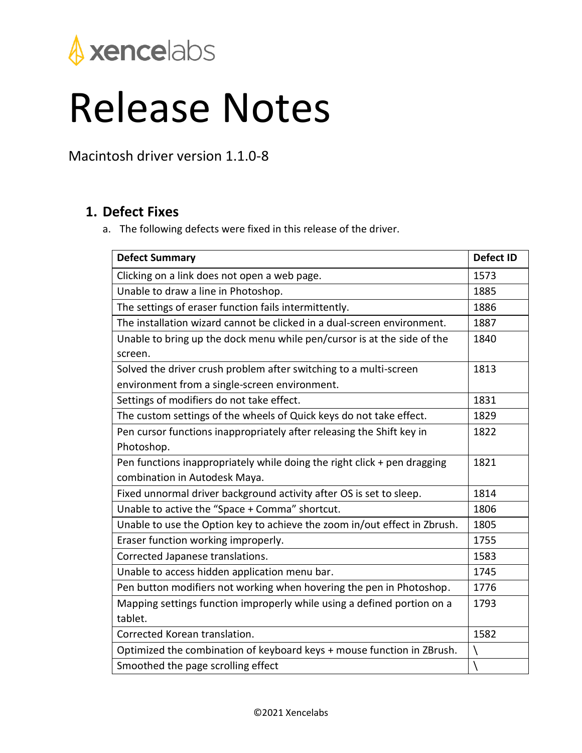

## Release Notes

Macintosh driver version 1.1.0-8

## **1. Defect Fixes**

a. The following defects were fixed in this release of the driver.

| <b>Defect Summary</b>                                                     | <b>Defect ID</b> |
|---------------------------------------------------------------------------|------------------|
| Clicking on a link does not open a web page.                              | 1573             |
| Unable to draw a line in Photoshop.                                       | 1885             |
| The settings of eraser function fails intermittently.                     | 1886             |
| The installation wizard cannot be clicked in a dual-screen environment.   | 1887             |
| Unable to bring up the dock menu while pen/cursor is at the side of the   | 1840             |
| screen.                                                                   |                  |
| Solved the driver crush problem after switching to a multi-screen         | 1813             |
| environment from a single-screen environment.                             |                  |
| Settings of modifiers do not take effect.                                 | 1831             |
| The custom settings of the wheels of Quick keys do not take effect.       | 1829             |
| Pen cursor functions inappropriately after releasing the Shift key in     | 1822             |
| Photoshop.                                                                |                  |
| Pen functions inappropriately while doing the right click + pen dragging  | 1821             |
| combination in Autodesk Maya.                                             |                  |
| Fixed unnormal driver background activity after OS is set to sleep.       | 1814             |
| Unable to active the "Space + Comma" shortcut.                            | 1806             |
| Unable to use the Option key to achieve the zoom in/out effect in Zbrush. | 1805             |
| Eraser function working improperly.                                       | 1755             |
| Corrected Japanese translations.                                          | 1583             |
| Unable to access hidden application menu bar.                             | 1745             |
| Pen button modifiers not working when hovering the pen in Photoshop.      | 1776             |
| Mapping settings function improperly while using a defined portion on a   | 1793             |
| tablet.                                                                   |                  |
| Corrected Korean translation.                                             | 1582             |
| Optimized the combination of keyboard keys + mouse function in ZBrush.    |                  |
| Smoothed the page scrolling effect                                        |                  |